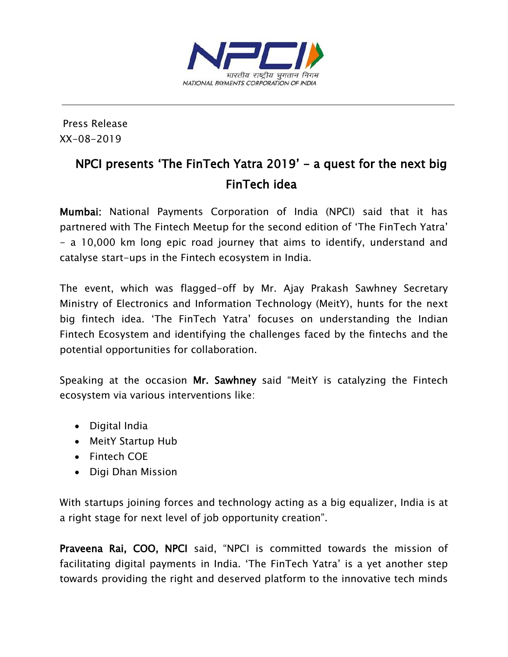

Press Release XX-08-2019

## NPCI presents 'The FinTech Yatra 2019' - a quest for the next big FinTech idea

Mumbai: National Payments Corporation of India (NPCI) said that it has partnered with The Fintech Meetup for the second edition of 'The FinTech Yatra' - a 10,000 km long epic road journey that aims to identify, understand and catalyse start-ups in the Fintech ecosystem in India.

The event, which was flagged-off by Mr. Ajay Prakash Sawhney Secretary Ministry of Electronics and Information Technology (MeitY), hunts for the next big fintech idea. 'The FinTech Yatra' focuses on understanding the Indian Fintech Ecosystem and identifying the challenges faced by the fintechs and the potential opportunities for collaboration.

Speaking at the occasion Mr. Sawhney said "MeitY is catalyzing the Fintech ecosystem via various interventions like:

- Digital India
- MeitY Startup Hub
- Fintech COE
- Digi Dhan Mission

With startups joining forces and technology acting as a big equalizer, India is at a right stage for next level of job opportunity creation".

Praveena Rai, COO, NPCI said, "NPCI is committed towards the mission of facilitating digital payments in India. 'The FinTech Yatra' is a yet another step towards providing the right and deserved platform to the innovative tech minds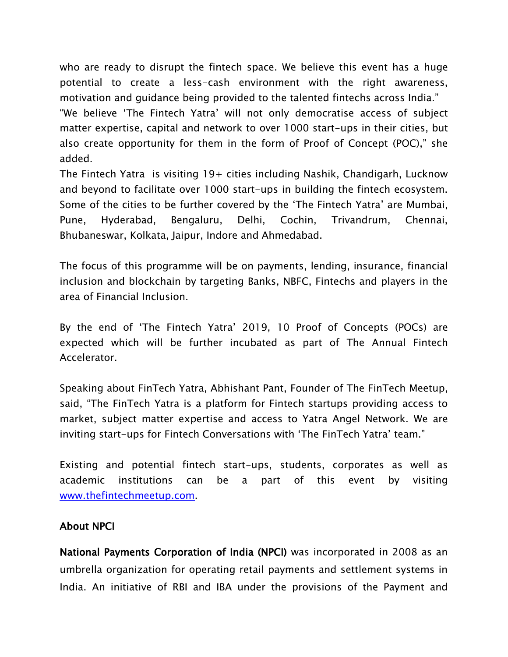who are ready to disrupt the fintech space. We believe this event has a huge potential to create a less-cash environment with the right awareness, motivation and guidance being provided to the talented fintechs across India."

"We believe 'The Fintech Yatra' will not only democratise access of subject matter expertise, capital and network to over 1000 start-ups in their cities, but also create opportunity for them in the form of Proof of Concept (POC)," she added.

The Fintech Yatra is visiting  $19+$  cities including Nashik, Chandigarh, Lucknow and beyond to facilitate over 1000 start-ups in building the fintech ecosystem. Some of the cities to be further covered by the 'The Fintech Yatra' are Mumbai, Pune, Hyderabad, Bengaluru, Delhi, Cochin, Trivandrum, Chennai, Bhubaneswar, Kolkata, Jaipur, Indore and Ahmedabad.

The focus of this programme will be on payments, lending, insurance, financial inclusion and blockchain by targeting Banks, NBFC, Fintechs and players in the area of Financial Inclusion.

By the end of 'The Fintech Yatra' 2019, 10 Proof of Concepts (POCs) are expected which will be further incubated as part of The Annual Fintech Accelerator.

Speaking about FinTech Yatra, Abhishant Pant, Founder of The FinTech Meetup, said, "The FinTech Yatra is a platform for Fintech startups providing access to market, subject matter expertise and access to Yatra Angel Network. We are inviting start-ups for Fintech Conversations with 'The FinTech Yatra' team."

Existing and potential fintech start-ups, students, corporates as well as academic institutions can be a part of this event by visiting [www.thefintechmeetup.com.](http://www.thefintechmeetup.com/)

## About NPCI

National Payments Corporation of India (NPCI) was incorporated in 2008 as an umbrella organization for operating retail payments and settlement systems in India. An initiative of RBI and IBA under the provisions of the Payment and